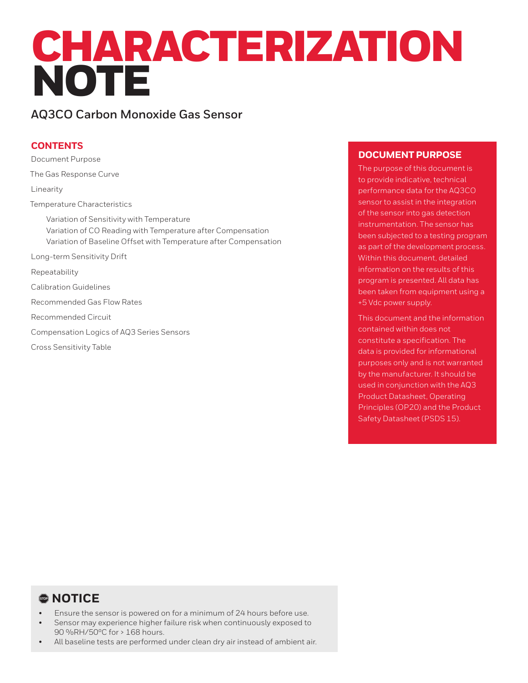# CHARACTERIZATION NOTE

# **AQ3CO Carbon Monoxide Gas Sensor**

# **CONTENTS**

Document Purpose The Gas Response Curve Linearity Temperature Characteristics Variation of Sensitivity with Temperature Variation of CO Reading with Temperature after Compensation Variation of Baseline Offset with Temperature after Compensation Long-term Sensitivity Drift Repeatability Calibration Guidelines Recommended Gas Flow Rates Recommended Circuit Compensation Logics of AQ3 Series Sensors Cross Sensitivity Table

# **DOCUMENT PURPOSE**

The purpose of this document is to provide indicative, technical performance data for the AQ3CO sensor to assist in the integration of the sensor into gas detection instrumentation. The sensor has been subjected to a testing program as part of the development process. Within this document, detailed information on the results of this program is presented. All data has been taken from equipment using a +5 Vdc power supply.

This document and the information contained within does not constitute a specification. The data is provided for informational purposes only and is not warranted by the manufacturer. It should be used in conjunction with the AQ3 Product Datasheet, Operating Principles (OP20) and the Product Safety Datasheet (PSDS 15).

# , **NOTICE**

- Ensure the sensor is powered on for a minimum of 24 hours before use.
- Sensor may experience higher failure risk when continuously exposed to 90 %RH/50ºC for > 168 hours.
- All baseline tests are performed under clean dry air instead of ambient air.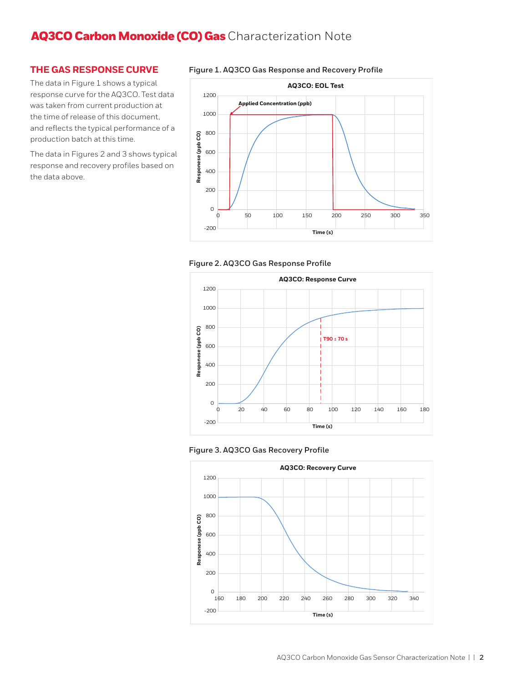## **THE GAS RESPONSE CURVE**

The data in Figure 1 shows a typical response curve for the AQ3CO. Test data was taken from current production at the time of release of this document, and reflects the typical performance of a production batch at this time.

The data in Figures 2 and 3 shows typical response and recovery profiles based on the data above.











## **Figure 1. AQ3CO Gas Response and Recovery Profile**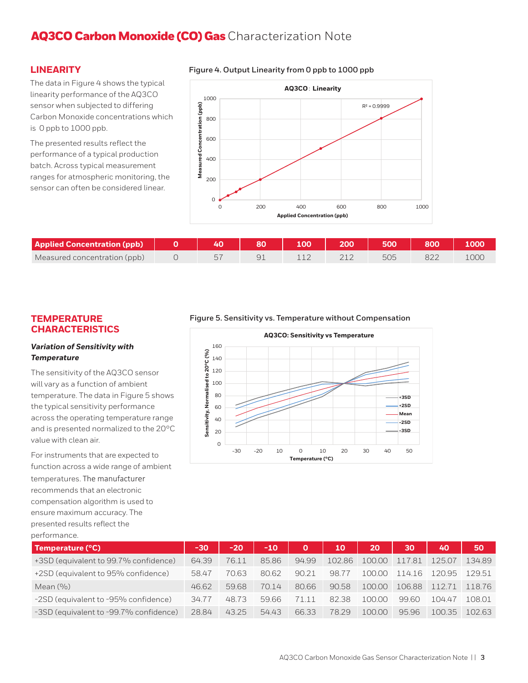## **LINEARITY**

**Figure 4. Output Linearity from 0 ppb to 1000 ppb** 

The data in Figure 4 shows the typical linearity performance of the AQ3CO sensor when subjected to differing Carbon Monoxide concentrations which is 0 ppb to 1000 ppb.

The presented results reflect the performance of a typical production batch. Across typical measurement ranges for atmospheric monitoring, the sensor can often be considered linear.



| <b>Applied Concentration (ppb)</b> |  | 100 |  | 800               |      |
|------------------------------------|--|-----|--|-------------------|------|
| Measured concentration (ppb)       |  |     |  | $O_{\mathcal{L}}$ | 1000 |

## **TEMPERATURE CHARACTERISTICS**

#### *Variation of Sensitivity with Temperature*

The sensitivity of the AQ3CO sensor will vary as a function of ambient temperature. The data in Figure 5 shows the typical sensitivity performance across the operating temperature range and is presented normalized to the 20°C value with clean air.

For instruments that are expected to function across a wide range of ambient temperatures. The manufacturer recommends that an electronic compensation algorithm is used to ensure maximum accuracy. The presented results reflect the performance.

**Figure 5. Sensitivity vs. Temperature without Compensation** 



| Temperature (°C)                       | -30   | $-20$ | $-10$ | $\mathbf 0$ | 10     | 20     | 30     | 40     | 50     |
|----------------------------------------|-------|-------|-------|-------------|--------|--------|--------|--------|--------|
| +3SD (equivalent to 99.7% confidence)  | 64.39 | 76.11 | 85.86 | 94.99       | 102.86 | 100.00 | 117.81 | 125.07 | 134.89 |
| +2SD (equivalent to 95% confidence)    | 58.47 | 70.63 | 8062  | 90.21       | 98.77  | 10000  | 11416  | 120.95 | 12951  |
| Mean $(9/0)$                           | 46.62 | 5968  | 7014  | 80.66       | 90.58  | 100.00 | 106.88 | 11271  | 11876  |
| -2SD (equivalent to -95% confidence)   | 34.77 | 48.73 | 59.66 | 71 11       | 82.38  | 10000  | 99.60  | 10447  | 108.01 |
| -3SD (equivalent to -99.7% confidence) | 28.84 | 43.25 | 54.43 | 66.33       | 78.29  | 10000  | 95.96  | 100.35 | 10263  |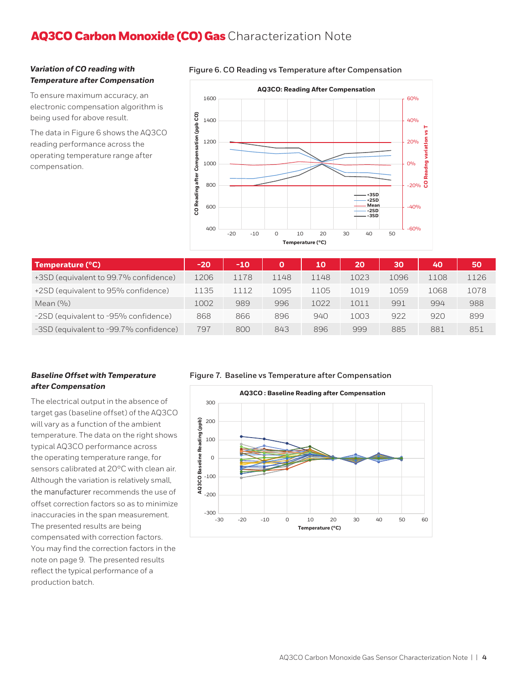#### *Variation of CO reading with Temperature after Compensation*

To ensure maximum accuracy, an electronic compensation algorithm is being used for above result.

The data in Figure 6 shows the AQ3CO reading performance across the operating temperature range after compensation.



#### **Figure 6. CO Reading vs Temperature after Compensation**

| Temperature (°C)                       | $-20$ | $-10$ | $\Omega$ | 10   | 20   | 30   | 40   | 50   |
|----------------------------------------|-------|-------|----------|------|------|------|------|------|
| +3SD (equivalent to 99.7% confidence)  | L206  | 1178  | 1148     | 1148 | 1023 | 1096 | 1108 | 1126 |
| +2SD (equivalent to 95% confidence)    | L135  | 1112  | 1095     | 1105 | 1019 | 1059 | 1068 | 1078 |
| Mean $(9/0)$                           | 1002  | 989   | 996      | 1022 | 1011 | 991  | 994  | 988  |
| -2SD (equivalent to -95% confidence)   | 868   | 866   | 896      | 940  | 1003 | 922  | 920  | 899  |
| -3SD (equivalent to -99.7% confidence) | 797   | 800   | 843      | 896  | 999  | 885  | 881  | 851  |

## *Baseline Offset with Temperature after Compensation*

The electrical output in the absence of target gas (baseline offset) of the AQ3CO will vary as a function of the ambient temperature. The data on the right shows typical AQ3CO performance across the operating temperature range, for sensors calibrated at 20°C with clean air. Although the variation is relatively small, the manufacturer recommends the use of offset correction factors so as to minimize inaccuracies in the span measurement. The presented results are being compensated with correction factors. You may find the correction factors in the note on page 9. The presented results reflect the typical performance of a production batch.

#### **Figure 7. Baseline vs Temperature after Compensation**

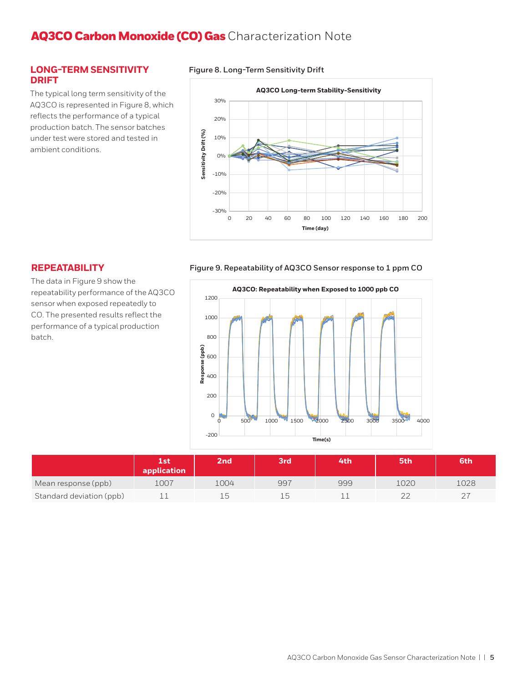### **LONG-TERM SENSITIVITY DRIFT**

The typical long term sensitivity of the AQ3CO is represented in Figure 8, which reflects the performance of a typical production batch. The sensor batches under test were stored and tested in ambient conditions.

#### **Figure 8. Long-Term Sensitivity Drift**



## **REPEATABILITY**

The data in Figure 9 show the repeatability performance of the AQ3CO sensor when exposed repeatedly to CO. The presented results reflect the performance of a typical production batch.

#### **Figure 9. Repeatability of AQ3CO Sensor response to 1 ppm CO**



|                          | Lst<br>application | 2 <sub>nd</sub> | 3rd                      | 4th | 5th  | 6th  |
|--------------------------|--------------------|-----------------|--------------------------|-----|------|------|
| Mean response (ppb)      | 1007               | 1004            | 997                      | 999 | 1020 | LO28 |
| Standard deviation (ppb) |                    |                 | $\overline{\phantom{a}}$ |     |      |      |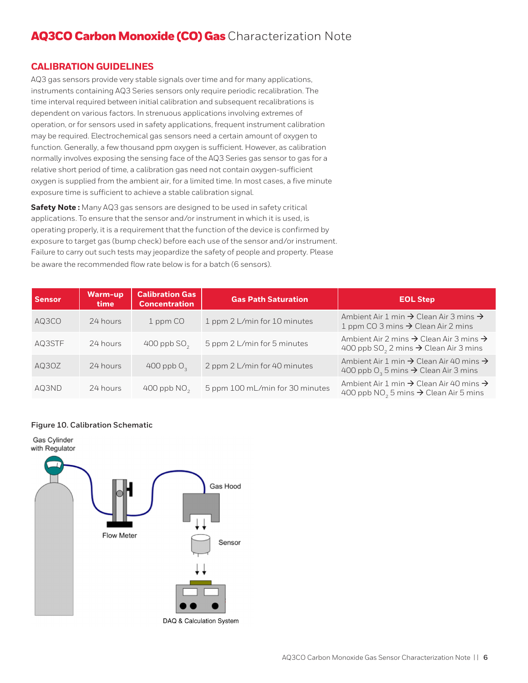## **CALIBRATION GUIDELINES**

AQ3 gas sensors provide very stable signals over time and for many applications, instruments containing AQ3 Series sensors only require periodic recalibration. The time interval required between initial calibration and subsequent recalibrations is dependent on various factors. In strenuous applications involving extremes of operation, or for sensors used in safety applications, frequent instrument calibration may be required. Electrochemical gas sensors need a certain amount of oxygen to function. Generally, a few thousand ppm oxygen is sufficient. However, as calibration normally involves exposing the sensing face of the AQ3 Series gas sensor to gas for a relative short period of time, a calibration gas need not contain oxygen-sufficient oxygen is supplied from the ambient air, for a limited time. In most cases, a five minute exposure time is sufficient to achieve a stable calibration signal.

**Safety Note :** Many AQ3 gas sensors are designed to be used in safety critical applications. To ensure that the sensor and/or instrument in which it is used, is operating properly, it is a requirement that the function of the device is confirmed by exposure to target gas (bump check) before each use of the sensor and/or instrument. Failure to carry out such tests may jeopardize the safety of people and property. Please be aware the recommended flow rate below is for a batch (6 sensors).

| <b>Sensor</b> | Warm-up<br>time | <b>Calibration Gas</b><br><b>Concentration</b> | <b>Gas Path Saturation</b>      | <b>EOL Step</b>                                                                                                                  |
|---------------|-----------------|------------------------------------------------|---------------------------------|----------------------------------------------------------------------------------------------------------------------------------|
| AQ3CO         | 24 hours        | 1 ppm CO                                       | 1 ppm 2 L/min for 10 minutes    | Ambient Air 1 min $\rightarrow$ Clean Air 3 mins $\rightarrow$<br>1 ppm CO 3 mins $\rightarrow$ Clean Air 2 mins                 |
| AQ3STF        | 24 hours        | 400 ppb $SO2$                                  | 5 ppm 2 L/min for 5 minutes     | Ambient Air 2 mins $\rightarrow$ Clean Air 3 mins $\rightarrow$<br>400 ppb SO <sub>2</sub> 2 mins $\rightarrow$ Clean Air 3 mins |
| AQ3OZ         | 24 hours        | 400 ppb $O3$                                   | 2 ppm 2 L/min for 40 minutes    | Ambient Air 1 min $\rightarrow$ Clean Air 40 mins $\rightarrow$<br>400 ppb $O_3$ 5 mins $\rightarrow$ Clean Air 3 mins           |
| AQ3ND         | 24 hours        | 400 ppb $NO2$                                  | 5 ppm 100 mL/min for 30 minutes | Ambient Air 1 min $\rightarrow$ Clean Air 40 mins $\rightarrow$<br>400 ppb NO <sub>2</sub> 5 mins $\rightarrow$ Clean Air 5 mins |

#### **Figure 10. Calibration Schematic**

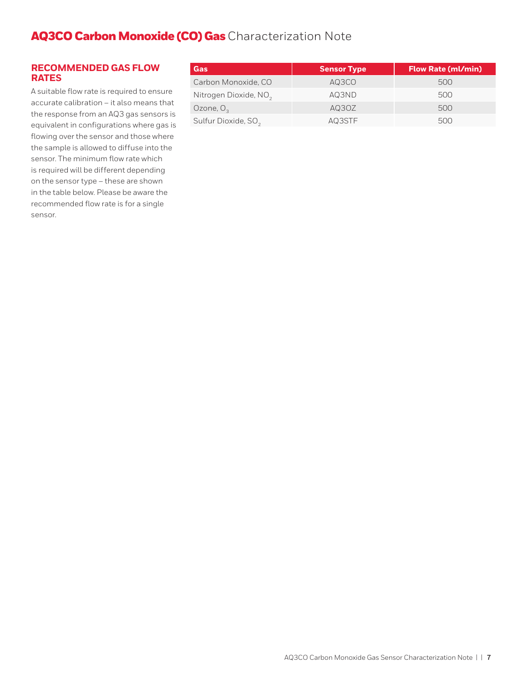## **RECOMMENDED GAS FLOW RATES**

A suitable flow rate is required to ensure accurate calibration – it also means that the response from an AQ3 gas sensors is equivalent in configurations where gas is flowing over the sensor and those where the sample is allowed to diffuse into the sensor. The minimum flow rate which is required will be different depending on the sensor type – these are shown in the table below. Please be aware the recommended flow rate is for a single sensor.

| Gas                               | <b>Sensor Type</b> | <b>Flow Rate (ml/min)</b> |
|-----------------------------------|--------------------|---------------------------|
| Carbon Monoxide, CO               | AQ3CO              | 500                       |
| Nitrogen Dioxide, NO <sub>2</sub> | AQ3ND              | 500                       |
| Ozone, $O2$                       | AQ3OZ              | 500                       |
| Sulfur Dioxide, SO <sub>2</sub>   | AQ3STF             | 500                       |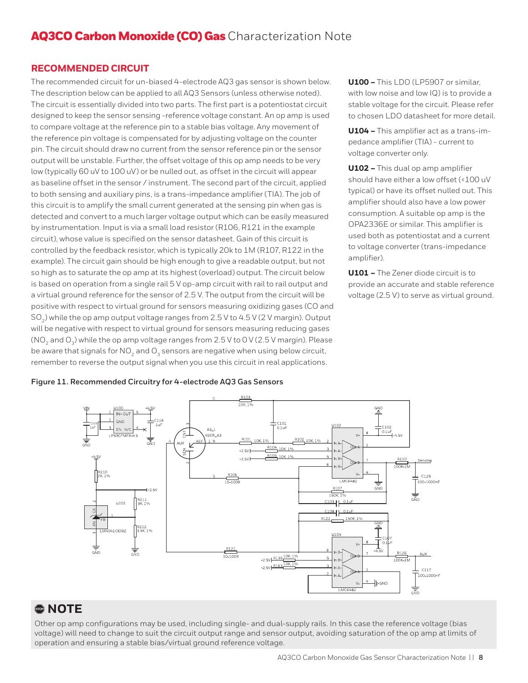## **RECOMMENDED CIRCUIT**

The recommended circuit for un-biased 4-electrode AQ3 gas sensor is shown below. The description below can be applied to all AQ3 Sensors (unless otherwise noted). The circuit is essentially divided into two parts. The first part is a potentiostat circuit designed to keep the sensor sensing -reference voltage constant. An op amp is used to compare voltage at the reference pin to a stable bias voltage. Any movement of the reference pin voltage is compensated for by adjusting voltage on the counter pin. The circuit should draw no current from the sensor reference pin or the sensor output will be unstable. Further, the offset voltage of this op amp needs to be very low (typically 60 uV to 100 uV) or be nulled out, as offset in the circuit will appear as baseline offset in the sensor / instrument. The second part of the circuit, applied to both sensing and auxiliary pins, is a trans-impedance amplifier (TIA). The job of this circuit is to amplify the small current generated at the sensing pin when gas is detected and convert to a much larger voltage output which can be easily measured by instrumentation. Input is via a small load resistor (R106, R121 in the example circuit), whose value is specified on the sensor datasheet. Gain of this circuit is controlled by the feedback resistor, which is typically 20k to 1M (R107, R122 in the example). The circuit gain should be high enough to give a readable output, but not so high as to saturate the op amp at its highest (overload) output. The circuit below is based on operation from a single rail 5 V op-amp circuit with rail to rail output and a virtual ground reference for the sensor of 2.5 V. The output from the circuit will be positive with respect to virtual ground for sensors measuring oxidizing gases (CO and SO<sub>2</sub>) while the op amp output voltage ranges from 2.5 V to 4.5 V (2 V margin). Output will be negative with respect to virtual ground for sensors measuring reducing gases (NO<sub>2</sub> and O<sub>3</sub>) while the op amp voltage ranges from 2.5 V to 0 V (2.5 V margin). Please be aware that signals for  $NO<sub>2</sub>$  and  $O<sub>3</sub>$  sensors are negative when using below circuit, remember to reverse the output signal when you use this circuit in real applications.

**U100 –** This LDO (LP5907 or similar, with low noise and low IQ) is to provide a stable voltage for the circuit. Please refer to chosen LDO datasheet for more detail.

**U104 –** This amplifier act as a trans-impedance amplifier (TIA) - current to voltage converter only.

**U102 –** This dual op amp amplifier should have either a low offset (<100 uV typical) or have its offset nulled out. This amplifier should also have a low power consumption. A suitable op amp is the OPA2336E or similar. This amplifier is used both as potentiostat and a current to voltage converter (trans-impedance amplifier).

**U101 –** The Zener diode circuit is to provide an accurate and stable reference voltage (2.5 V) to serve as virtual ground.

#### **Figure 11. Recommended Circuitry for 4-electrode AQ3 Gas Sensors**



# , **NOTE**

Other op amp configurations may be used, including single- and dual-supply rails. In this case the reference voltage (bias voltage) will need to change to suit the circuit output range and sensor output, avoiding saturation of the op amp at limits of operation and ensuring a stable bias/virtual ground reference voltage.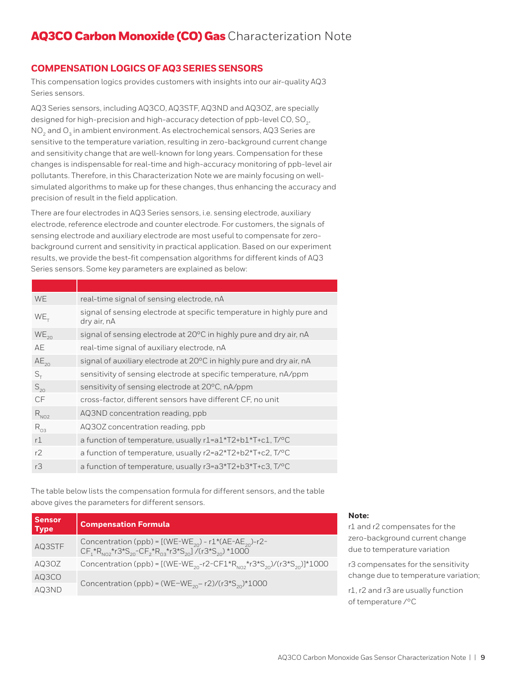# **COMPENSATION LOGICS OF AQ3 SERIES SENSORS**

This compensation logics provides customers with insights into our air-quality AQ3 Series sensors.

AQ3 Series sensors, including AQ3CO, AQ3STF, AQ3ND and AQ3OZ, are specially designed for high-precision and high-accuracy detection of ppb-level CO,  $SO<sub>2</sub>$ , NO<sub>2</sub> and O<sub>2</sub> in ambient environment. As electrochemical sensors, AQ3 Series are sensitive to the temperature variation, resulting in zero-background current change and sensitivity change that are well-known for long years. Compensation for these changes is indispensable for real-time and high-accuracy monitoring of ppb-level air pollutants. Therefore, in this Characterization Note we are mainly focusing on wellsimulated algorithms to make up for these changes, thus enhancing the accuracy and precision of result in the field application.

There are four electrodes in AQ3 Series sensors, i.e. sensing electrode, auxiliary electrode, reference electrode and counter electrode. For customers, the signals of sensing electrode and auxiliary electrode are most useful to compensate for zerobackground current and sensitivity in practical application. Based on our experiment results, we provide the best-fit compensation algorithms for different kinds of AQ3 Series sensors. Some key parameters are explained as below:

| real-time signal of sensing electrode, nA                                             |
|---------------------------------------------------------------------------------------|
| signal of sensing electrode at specific temperature in highly pure and<br>dry air, nA |
| signal of sensing electrode at 20°C in highly pure and dry air, nA                    |
| real-time signal of auxiliary electrode, nA                                           |
| signal of auxiliary electrode at 20°C in highly pure and dry air, nA                  |
| sensitivity of sensing electrode at specific temperature, nA/ppm                      |
| sensitivity of sensing electrode at 20°C, nA/ppm                                      |
| cross-factor, different sensors have different CF, no unit                            |
| AQ3ND concentration reading, ppb                                                      |
| AQ3OZ concentration reading, ppb                                                      |
| a function of temperature, usually r1=a1*T2+b1*T+c1, T/ <sup>o</sup> C                |
| a function of temperature, usually r2=a2*T2+b2*T+c2, T/°C                             |
| a function of temperature, usually r3=a3*T2+b3*T+c3, T/°C                             |
|                                                                                       |

The table below lists the compensation formula for different sensors, and the table above gives the parameters for different sensors.

| <b>Sensor</b><br><b>Type</b> | <b>Compensation Formula</b>                                                                                                                                                        |
|------------------------------|------------------------------------------------------------------------------------------------------------------------------------------------------------------------------------|
| AQ3STF                       | Concentration (ppb) = $[(WE-WE_{20}) - r1*(AE-AE_{20})-r2-$<br>$CF_1^*R_{N02}^*r3*S_{20}^{\text{-}}CF_2^*R_{03}^*r3*S_{20}^{\text{-}}/(r3*S_{20}^{\text{-}})/r3*S_{21}^{\text{-}}$ |
| AQ3OZ                        | Concentration (ppb) = [(WE-WE <sub>20</sub> -r2-CF1*R <sub>NO2</sub> *r3*S <sub>20</sub> )/(r3*S <sub>20</sub> )]*1000                                                             |
| AQ3CO                        |                                                                                                                                                                                    |
| AQ3ND                        | Concentration (ppb) = (WE-WE <sub>20</sub> -r2)/(r3*S <sub>20</sub> )*1000                                                                                                         |

#### **Note:**

r1 and r2 compensates for the zero-background current change due to temperature variation

r3 compensates for the sensitivity change due to temperature variation;

r1, r2 and r3 are usually function of temperature /°C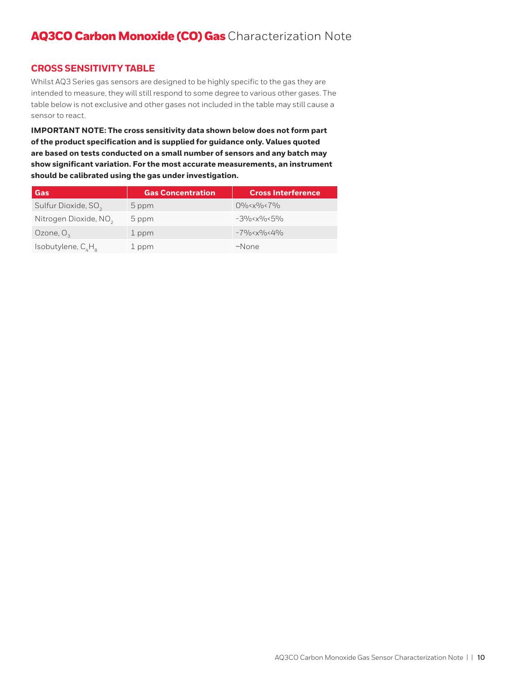## **CROSS SENSITIVITY TABLE**

Whilst AQ3 Series gas sensors are designed to be highly specific to the gas they are intended to measure, they will still respond to some degree to various other gases. The table below is not exclusive and other gases not included in the table may still cause a sensor to react.

**IMPORTANT NOTE: The cross sensitivity data shown below does not form part of the product specification and is supplied for guidance only. Values quoted are based on tests conducted on a small number of sensors and any batch may show significant variation. For the most accurate measurements, an instrument should be calibrated using the gas under investigation.**

| Gas                               | <b>Gas Concentration</b> | <b>Cross Interference</b>                   |
|-----------------------------------|--------------------------|---------------------------------------------|
| Sulfur Dioxide, SO <sub>2</sub>   | 5 ppm                    | $0\% < x\% < 7\%$                           |
| Nitrogen Dioxide, NO <sub>2</sub> | 5 ppm                    | $-3\%$ < $\times$ $\%$ < 5 $\%$             |
| Ozone, $O3$                       | 1 ppm                    | $-79$ / $0 \times 89$ / $0 \times 49$ / $0$ |
| Isobutylene, $C_{\mu}H_{\mu}$     | 1 ppm                    | $~\sim$ None                                |